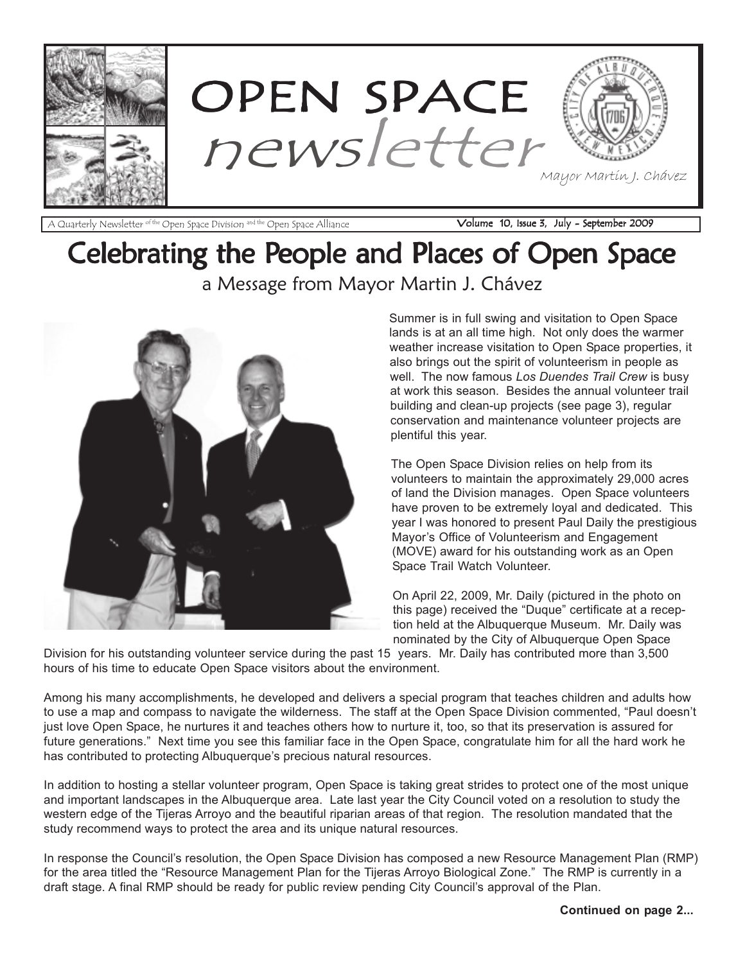

A Quarterly Newsletter of the Open Space Division and the Open Space Alliance **Volume 10, Issue 3, July - September 2009** 

### Celebrating the People and Places of Open Space a Message from Mayor Martin J. Chávez



Summer is in full swing and visitation to Open Space lands is at an all time high. Not only does the warmer weather increase visitation to Open Space properties, it also brings out the spirit of volunteerism in people as well. The now famous Los Duendes Trail Crew is busy at work this season. Besides the annual volunteer trail building and clean-up projects (see page 3), regular conservation and maintenance volunteer projects are plentiful this year.

The Open Space Division relies on help from its volunteers to maintain the approximately 29,000 acres of land the Division manages. Open Space volunteers have proven to be extremely loyal and dedicated. This year I was honored to present Paul Daily the prestigious Mayor's Office of Volunteerism and Engagement (MOVE) award for his outstanding work as an Open Space Trail Watch Volunteer.

On April 22, 2009, Mr. Daily (pictured in the photo on this page) received the "Duque" certificate at a reception held at the Albuquerque Museum. Mr. Daily was nominated by the City of Albuquerque Open Space

Division for his outstanding volunteer service during the past 15 years. Mr. Daily has contributed more than 3,500 hours of his time to educate Open Space visitors about the environment.

Among his many accomplishments, he developed and delivers a special program that teaches children and adults how to use a map and compass to navigate the wilderness. The staff at the Open Space Division commented, "Paul doesn't just love Open Space, he nurtures it and teaches others how to nurture it, too, so that its preservation is assured for future generations." Next time you see this familiar face in the Open Space, congratulate him for all the hard work he has contributed to protecting Albuquerque's precious natural resources.

In addition to hosting a stellar volunteer program, Open Space is taking great strides to protect one of the most unique and important landscapes in the Albuquerque area. Late last year the City Council voted on a resolution to study the western edge of the Tijeras Arroyo and the beautiful riparian areas of that region. The resolution mandated that the study recommend ways to protect the area and its unique natural resources.

In response the Council's resolution, the Open Space Division has composed a new Resource Management Plan (RMP) for the area titled the "Resource Management Plan for the Tijeras Arroyo Biological Zone." The RMP is currently in a draft stage. A final RMP should be ready for public review pending City Council's approval of the Plan.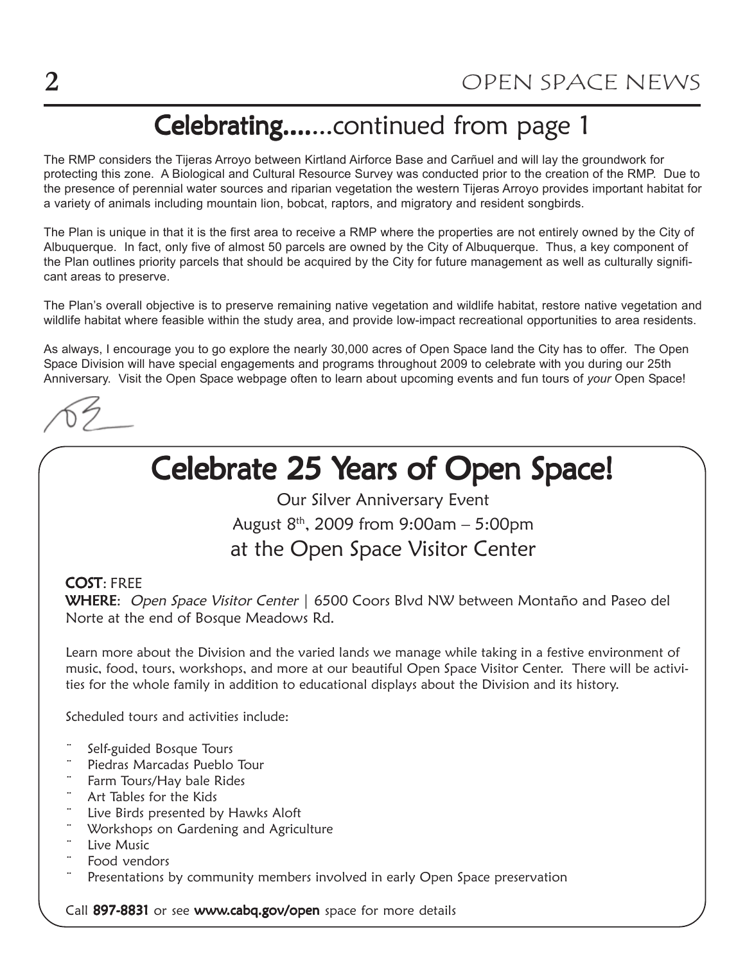### Celebrating.......continued from page 1

The RMP considers the Tijeras Arroyo between Kirtland Airforce Base and Carñuel and will lay the groundwork for protecting this zone. A Biological and Cultural Resource Survey was conducted prior to the creation of the RMP. Due to the presence of perennial water sources and riparian vegetation the western Tijeras Arroyo provides important habitat for a variety of animals including mountain lion, bobcat, raptors, and migratory and resident songbirds.

The Plan is unique in that it is the first area to receive a RMP where the properties are not entirely owned by the City of Albuquerque. In fact, only five of almost 50 parcels are owned by the City of Albuquerque. Thus, a key component of the Plan outlines priority parcels that should be acquired by the City for future management as well as culturally significant areas to preserve.

The Plan's overall objective is to preserve remaining native vegetation and wildlife habitat, restore native vegetation and wildlife habitat where feasible within the study area, and provide low-impact recreational opportunities to area residents.

As always, I encourage you to go explore the nearly 30,000 acres of Open Space land the City has to offer. The Open Space Division will have special engagements and programs throughout 2009 to celebrate with you during our 25th Anniversary. Visit the Open Space webpage often to learn about upcoming events and fun tours of your Open Space!

### Celebrate 25 Years of Open Space!

Our Silver Anniversary Event August  $8^{th}$ , 2009 from 9:00am - 5:00pm at the Open Space Visitor Center

### COST: FREE

WHERE: Open Space Visitor Center | 6500 Coors Blvd NW between Montaño and Paseo del Norte at the end of Bosque Meadows Rd.

Learn more about the Division and the varied lands we manage while taking in a festive environment of music, food, tours, workshops, and more at our beautiful Open Space Visitor Center. There will be activities for the whole family in addition to educational displays about the Division and its history.

Scheduled tours and activities include:

- Self-guided Bosque Tours
- Piedras Marcadas Pueblo Tour
- Farm Tours/Hay bale Rides
- Art Tables for the Kids
- Live Birds presented by Hawks Aloft
- Workshops on Gardening and Agriculture
- Live Music
- Food vendors
- Presentations by community members involved in early Open Space preservation

Call 897-8831 or see www.cabq.gov/open space for more details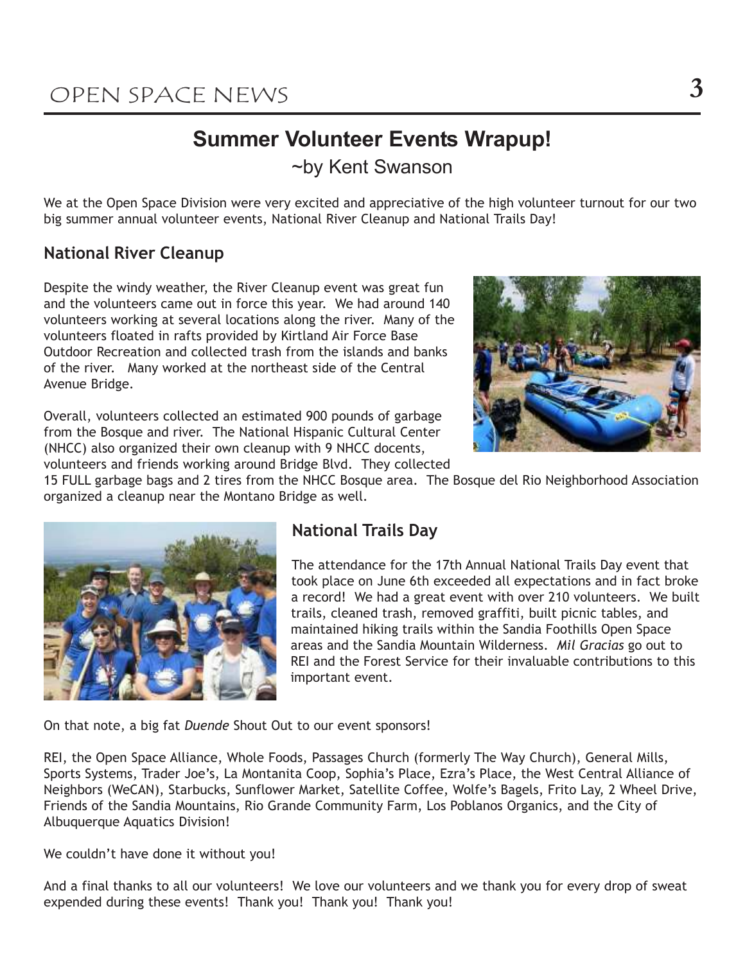### Summer Volunteer Events Wrapup!

~by Kent Swanson

We at the Open Space Division were very excited and appreciative of the high volunteer turnout for our two big summer annual volunteer events, National River Cleanup and National Trails Day!

### National River Cleanup

Despite the windy weather, the River Cleanup event was great fun and the volunteers came out in force this year. We had around 140 volunteers working at several locations along the river. Many of the volunteers floated in rafts provided by Kirtland Air Force Base Outdoor Recreation and collected trash from the islands and banks of the river. Many worked at the northeast side of the Central Avenue Bridge.

Overall, volunteers collected an estimated 900 pounds of garbage from the Bosque and river. The National Hispanic Cultural Center (NHCC) also organized their own cleanup with 9 NHCC docents,



volunteers and friends working around Bridge Blvd. They collected

15 FULL garbage bags and 2 tires from the NHCC Bosque area. The Bosque del Rio Neighborhood Association organized a cleanup near the Montano Bridge as well.



### National Trails Day

The attendance for the 17th Annual National Trails Day event that took place on June 6th exceeded all expectations and in fact broke a record! We had a great event with over 210 volunteers. We built trails, cleaned trash, removed graffiti, built picnic tables, and maintained hiking trails within the Sandia Foothills Open Space areas and the Sandia Mountain Wilderness. Mil Gracias go out to REI and the Forest Service for their invaluable contributions to this important event.

On that note, a big fat Duende Shout Out to our event sponsors!

REI, the Open Space Alliance, Whole Foods, Passages Church (formerly The Way Church), General Mills, Sports Systems, Trader Joe's, La Montanita Coop, Sophia's Place, Ezra's Place, the West Central Alliance of Neighbors (WeCAN), Starbucks, Sunflower Market, Satellite Coffee, Wolfe's Bagels, Frito Lay, 2 Wheel Drive, Friends of the Sandia Mountains, Rio Grande Community Farm, Los Poblanos Organics, and the City of Albuquerque Aquatics Division!

We couldn't have done it without you!

And a final thanks to all our volunteers! We love our volunteers and we thank you for every drop of sweat expended during these events! Thank you! Thank you! Thank you!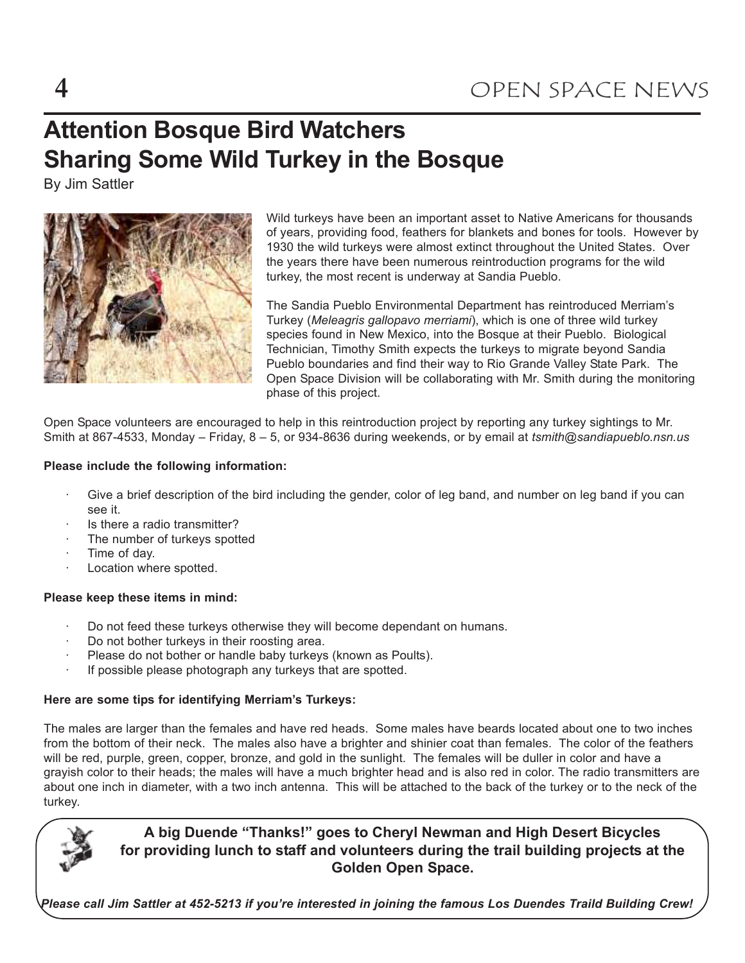### Attention Bosque Bird Watchers Sharing Some Wild Turkey in the Bosque

By Jim Sattler



Wild turkeys have been an important asset to Native Americans for thousands of years, providing food, feathers for blankets and bones for tools. However by 1930 the wild turkeys were almost extinct throughout the United States. Over the years there have been numerous reintroduction programs for the wild turkey, the most recent is underway at Sandia Pueblo.

The Sandia Pueblo Environmental Department has reintroduced Merriam's Turkey (Meleagris gallopavo merriami), which is one of three wild turkey species found in New Mexico, into the Bosque at their Pueblo. Biological Technician, Timothy Smith expects the turkeys to migrate beyond Sandia Pueblo boundaries and find their way to Rio Grande Valley State Park. The Open Space Division will be collaborating with Mr. Smith during the monitoring phase of this project.

Open Space volunteers are encouraged to help in this reintroduction project by reporting any turkey sightings to Mr. Smith at 867-4533, Monday – Friday, 8 – 5, or 934-8636 during weekends, or by email at tsmith@sandiapueblo.nsn.us

#### Please include the following information:

- Give a brief description of the bird including the gender, color of leg band, and number on leg band if you can see it.
- Is there a radio transmitter?
- The number of turkeys spotted
- Time of day.
- Location where spotted.

#### Please keep these items in mind:

- Do not feed these turkeys otherwise they will become dependant on humans.
- Do not bother turkeys in their roosting area.
- Please do not bother or handle baby turkeys (known as Poults).
- If possible please photograph any turkeys that are spotted.

### Here are some tips for identifying Merriam's Turkeys:

The males are larger than the females and have red heads. Some males have beards located about one to two inches from the bottom of their neck. The males also have a brighter and shinier coat than females. The color of the feathers will be red, purple, green, copper, bronze, and gold in the sunlight. The females will be duller in color and have a grayish color to their heads; the males will have a much brighter head and is also red in color. The radio transmitters are about one inch in diameter, with a two inch antenna. This will be attached to the back of the turkey or to the neck of the turkey.



### A big Duende "Thanks!" goes to Cheryl Newman and High Desert Bicycles for providing lunch to staff and volunteers during the trail building projects at the Golden Open Space.

Please call Jim Sattler at 452-5213 if you're interested in joining the famous Los Duendes Traild Building Crew!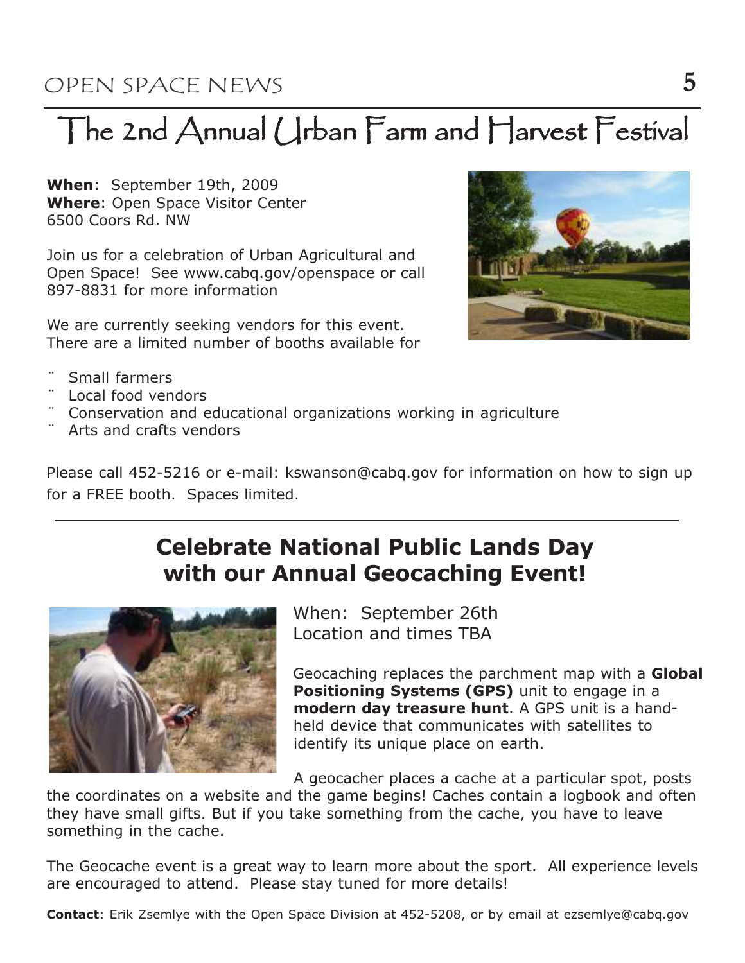## The 2nd Annual Urban Farm and Harvest Festival

When: September 19th, 2009 Where: Open Space Visitor Center 6500 Coors Rd. NW

Join us for a celebration of Urban Agricultural and Open Space! See www.cabq.gov/openspace or call 897-8831 for more information

We are currently seeking vendors for this event. There are a limited number of booths available for



- Small farmers
- ¨ Local food vendors
- Conservation and educational organizations working in agriculture
- Arts and crafts vendors

Please call 452-5216 or e-mail: kswanson@cabq.gov for information on how to sign up for a FREE booth. Spaces limited.

### Celebrate National Public Lands Day with our Annual Geocaching Event!



When: September 26th Location and times TBA

Geocaching replaces the parchment map with a **Global** Positioning Systems (GPS) unit to engage in a modern day treasure hunt. A GPS unit is a handheld device that communicates with satellites to identify its unique place on earth.

A geocacher places a cache at a particular spot, posts

the coordinates on a website and the game begins! Caches contain a logbook and often they have small gifts. But if you take something from the cache, you have to leave something in the cache.

The Geocache event is a great way to learn more about the sport. All experience levels are encouraged to attend. Please stay tuned for more details!

**Contact:** Erik Zsemlye with the Open Space Division at 452-5208, or by email at ezsemlye@cabq.gov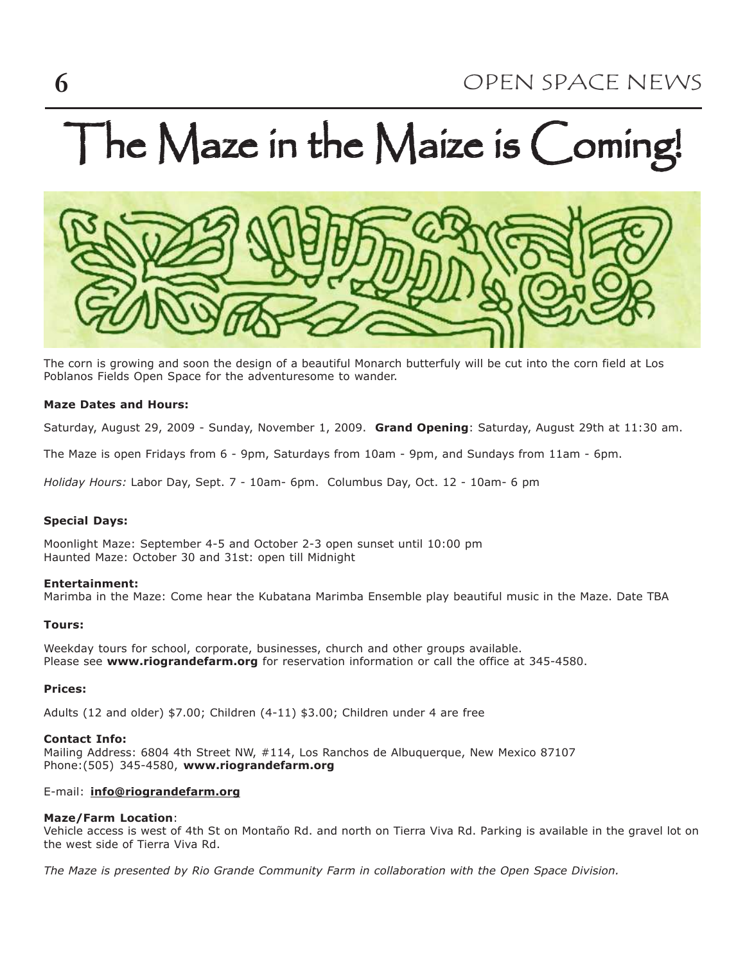# The Maze in the Maize is Coming!



The corn is growing and soon the design of a beautiful Monarch butterfuly will be cut into the corn field at Los Poblanos Fields Open Space for the adventuresome to wander.

#### Maze Dates and Hours:

Saturday, August 29, 2009 - Sunday, November 1, 2009. Grand Opening: Saturday, August 29th at 11:30 am.

The Maze is open Fridays from 6 - 9pm, Saturdays from 10am - 9pm, and Sundays from 11am - 6pm.

Holiday Hours: Labor Day, Sept. 7 - 10am- 6pm. Columbus Day, Oct. 12 - 10am- 6 pm

#### Special Days:

Moonlight Maze: September 4-5 and October 2-3 open sunset until 10:00 pm Haunted Maze: October 30 and 31st: open till Midnight

#### Entertainment:

Marimba in the Maze: Come hear the Kubatana Marimba Ensemble play beautiful music in the Maze. Date TBA

#### Tours:

Weekday tours for school, corporate, businesses, church and other groups available. Please see www.riograndefarm.org for reservation information or call the office at 345-4580.

#### Prices:

Adults (12 and older) \$7.00; Children (4-11) \$3.00; Children under 4 are free

#### Contact Info:

Mailing Address: 6804 4th Street NW, #114, Los Ranchos de Albuquerque, New Mexico 87107 Phone:(505) 345-4580, www.riograndefarm.org

#### E-mail: info@riograndefarm.org

#### Maze/Farm Location:

Vehicle access is west of 4th St on Montaño Rd. and north on Tierra Viva Rd. Parking is available in the gravel lot on the west side of Tierra Viva Rd.

The Maze is presented by Rio Grande Community Farm in collaboration with the Open Space Division.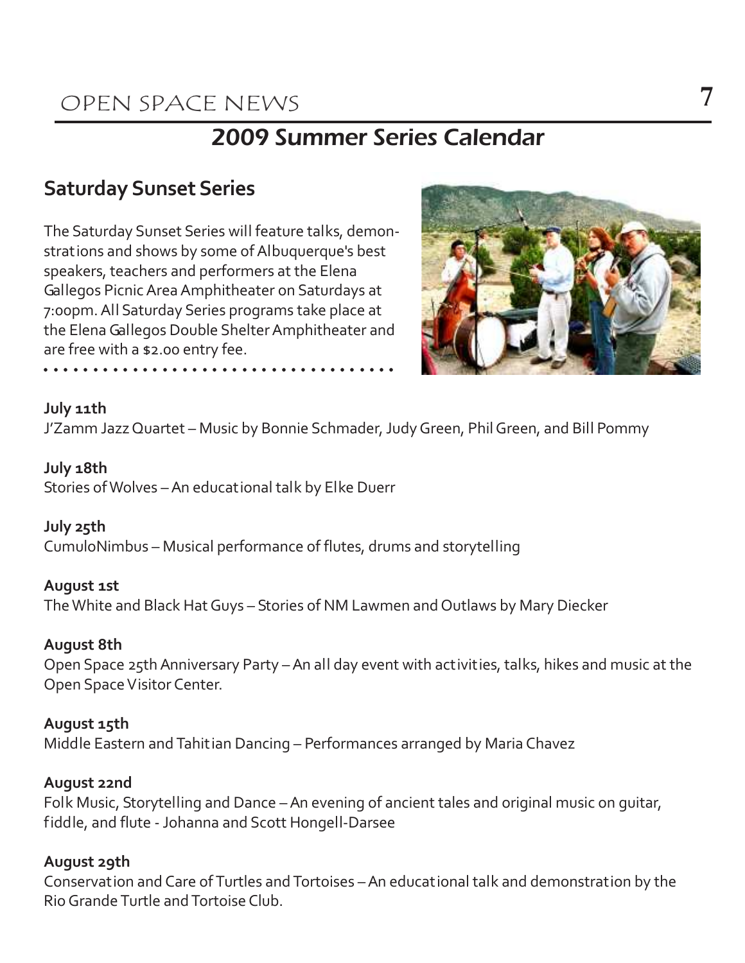### OPEN SPACE NEWS 7

### 2009 Summer Series Calendar

### Saturday Sunset Series

The Saturday Sunset Series will feature talks, demonstrations and shows by some of Albuquerque's best speakers, teachers and performers at the Elena Gallegos Picnic Area Amphitheater on Saturdays at 7:00pm. All Saturday Series programs take place at the Elena Gallegos Double Shelter Amphitheater and are free with a \$2.00 entry fee.

a a a a a a a a a a a a a a a a a a a a a a a a a a a a a a a a a a a a



### July 11th

J'Zamm Jazz Quartet – Music by Bonnie Schmader, Judy Green, Phil Green, and Bill Pommy

### July 18th

Stories of Wolves – An educational talk by Elke Duerr

### July 25th

CumuloNimbus – Musical performance of flutes, drums and storytelling

### August 1st

The White and Black Hat Guys – Stories of NM Lawmen and Outlaws by Mary Diecker

### August 8th

Open Space 25th Anniversary Party – An all day event with activities, talks, hikes and music at the Open Space Visitor Center.

### August 15th

Middle Eastern and Tahitian Dancing – Performances arranged by Maria Chavez

### August 22nd

Folk Music, Storytelling and Dance – An evening of ancient tales and original music on guitar, fiddle, and flute - Johanna and Scott Hongell-Darsee

### August 29th

Conservation and Care of Turtles and Tortoises – An educational talk and demonstration by the Rio Grande Turtle and Tortoise Club.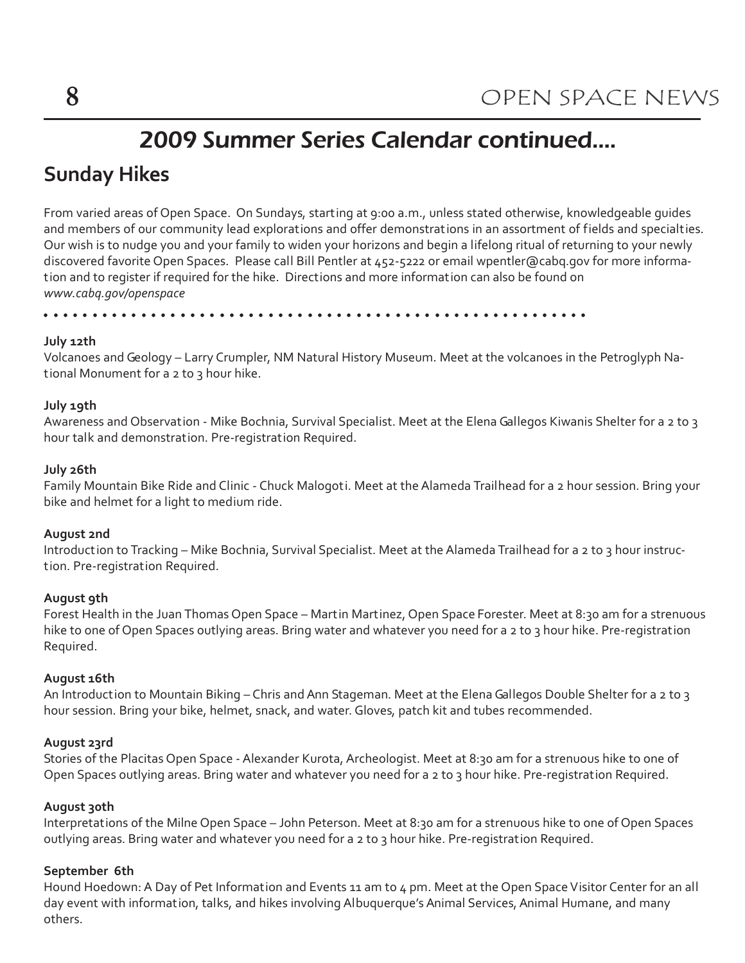### 2009 Summer Series Calendar continued....

### Sunday Hikes

From varied areas of Open Space. On Sundays, starting at 9:00 a.m., unless stated otherwise, knowledgeable guides and members of our community lead explorations and offer demonstrations in an assortment of fields and specialties. Our wish is to nudge you and your family to widen your horizons and begin a lifelong ritual of returning to your newly discovered favorite Open Spaces. Please call Bill Pentler at 452-5222 or email wpentler@cabq.gov for more information and to register if required for the hike. Directions and more information can also be found on www.cabq.gov/openspace

a a a a a a a a a a a a a a a a a a a a a a a a a a a a a a a a a a a a a a a a a a a a a a a a a a a a a a a a

### July 12th

Volcanoes and Geology – Larry Crumpler, NM Natural History Museum. Meet at the volcanoes in the Petroglyph National Monument for a 2 to 3 hour hike.

### July 19th

Awareness and Observation - Mike Bochnia, Survival Specialist. Meet at the Elena Gallegos Kiwanis Shelter for a 2 to 3 hour talk and demonstration. Pre-registration Required.

### July 26th

Family Mountain Bike Ride and Clinic - Chuck Malogoti. Meet at the Alameda Trailhead for a 2 hour session. Bring your bike and helmet for a light to medium ride.

#### August 2nd

Introduction to Tracking – Mike Bochnia, Survival Specialist. Meet at the Alameda Trailhead for a 2 to 3 hour instruction. Pre-registration Required.

#### August 9th

Forest Health in the Juan Thomas Open Space – Martin Martinez, Open Space Forester. Meet at 8:30 am for a strenuous hike to one of Open Spaces outlying areas. Bring water and whatever you need for a 2 to 3 hour hike. Pre-registration Required.

#### August 16th

An Introduction to Mountain Biking – Chris and Ann Stageman. Meet at the Elena Gallegos Double Shelter for a 2 to 3 hour session. Bring your bike, helmet, snack, and water. Gloves, patch kit and tubes recommended.

### August 23rd

Stories of the Placitas Open Space - Alexander Kurota, Archeologist. Meet at 8:30 am for a strenuous hike to one of Open Spaces outlying areas. Bring water and whatever you need for a 2 to 3 hour hike. Pre-registration Required.

#### August 30th

Interpretations of the Milne Open Space – John Peterson. Meet at 8:30 am for a strenuous hike to one of Open Spaces outlying areas. Bring water and whatever you need for a 2 to 3 hour hike. Pre-registration Required.

#### September 6th

Hound Hoedown: A Day of Pet Information and Events 11 am to 4 pm. Meet at the Open Space Visitor Center for an all day event with information, talks, and hikes involving Albuquerque's Animal Services, Animal Humane, and many others.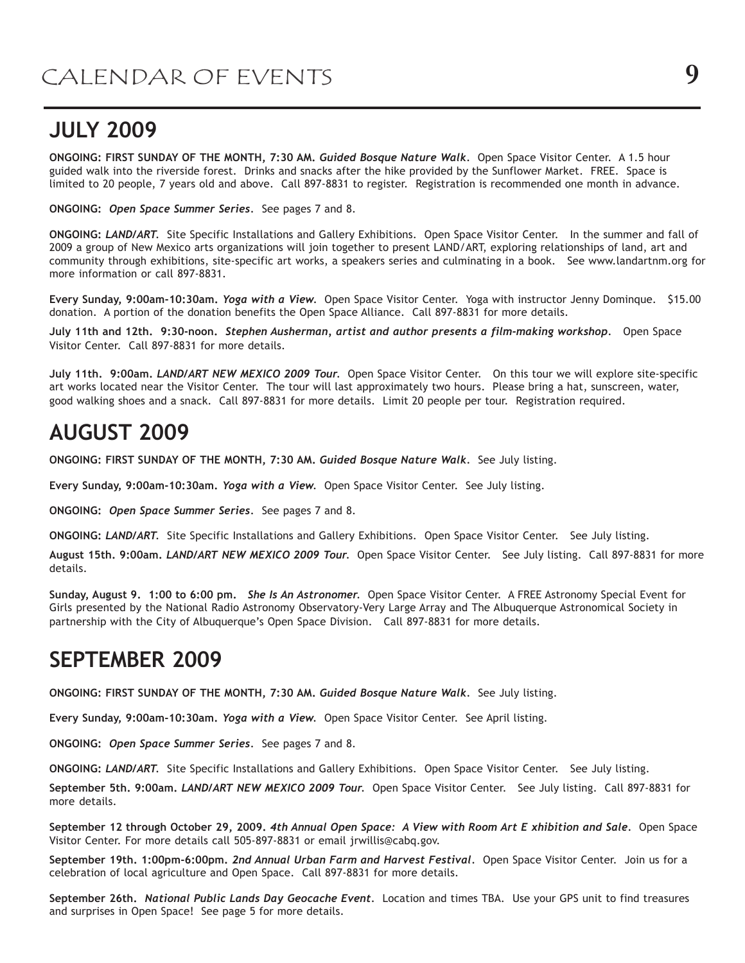### JULY 2009

ONGOING: FIRST SUNDAY OF THE MONTH, 7:30 AM. Guided Bosque Nature Walk. Open Space Visitor Center. A 1.5 hour guided walk into the riverside forest. Drinks and snacks after the hike provided by the Sunflower Market. FREE. Space is limited to 20 people, 7 years old and above. Call 897-8831 to register. Registration is recommended one month in advance.

ONGOING: Open Space Summer Series. See pages 7 and 8.

ONGOING: LAND/ART. Site Specific Installations and Gallery Exhibitions. Open Space Visitor Center. In the summer and fall of 2009 a group of New Mexico arts organizations will join together to present LAND/ART, exploring relationships of land, art and community through exhibitions, site-specific art works, a speakers series and culminating in a book. See www.landartnm.org for more information or call 897-8831.

Every Sunday, 9:00am-10:30am. Yoga with a View. Open Space Visitor Center. Yoga with instructor Jenny Dominque. \$15.00 donation. A portion of the donation benefits the Open Space Alliance. Call 897-8831 for more details.

July 11th and 12th. 9:30-noon. Stephen Ausherman, artist and author presents a film-making workshop. Open Space Visitor Center. Call 897-8831 for more details.

July 11th. 9:00am. LAND/ART NEW MEXICO 2009 Tour. Open Space Visitor Center. On this tour we will explore site-specific art works located near the Visitor Center. The tour will last approximately two hours. Please bring a hat, sunscreen, water, good walking shoes and a snack. Call 897-8831 for more details. Limit 20 people per tour. Registration required.

### AUGUST 2009

ONGOING: FIRST SUNDAY OF THE MONTH, 7:30 AM. Guided Bosque Nature Walk. See July listing.

Every Sunday, 9:00am-10:30am. Yoga with a View. Open Space Visitor Center. See July listing.

ONGOING: Open Space Summer Series. See pages 7 and 8.

ONGOING: LAND/ART. Site Specific Installations and Gallery Exhibitions. Open Space Visitor Center. See July listing.

August 15th. 9:00am. LAND/ART NEW MEXICO 2009 Tour. Open Space Visitor Center. See July listing. Call 897-8831 for more details.

Sunday, August 9. 1:00 to 6:00 pm. She Is An Astronomer. Open Space Visitor Center. A FREE Astronomy Special Event for Girls presented by the National Radio Astronomy Observatory-Very Large Array and The Albuquerque Astronomical Society in partnership with the City of Albuquerque's Open Space Division. Call 897-8831 for more details.

### SEPTEMBER 2009

ONGOING: FIRST SUNDAY OF THE MONTH, 7:30 AM. Guided Bosque Nature Walk. See July listing.

Every Sunday, 9:00am-10:30am. Yoga with a View. Open Space Visitor Center. See April listing.

ONGOING: Open Space Summer Series. See pages 7 and 8.

ONGOING: LAND/ART. Site Specific Installations and Gallery Exhibitions. Open Space Visitor Center. See July listing.

September 5th. 9:00am. LAND/ART NEW MEXICO 2009 Tour. Open Space Visitor Center. See July listing. Call 897-8831 for more details.

September 12 through October 29, 2009. 4th Annual Open Space: A View with Room Art E xhibition and Sale. Open Space Visitor Center. For more details call 505-897-8831 or email jrwillis@cabq.gov.

September 19th. 1:00pm-6:00pm. 2nd Annual Urban Farm and Harvest Festival. Open Space Visitor Center. Join us for a celebration of local agriculture and Open Space. Call 897-8831 for more details.

September 26th. National Public Lands Day Geocache Event. Location and times TBA. Use your GPS unit to find treasures and surprises in Open Space! See page 5 for more details.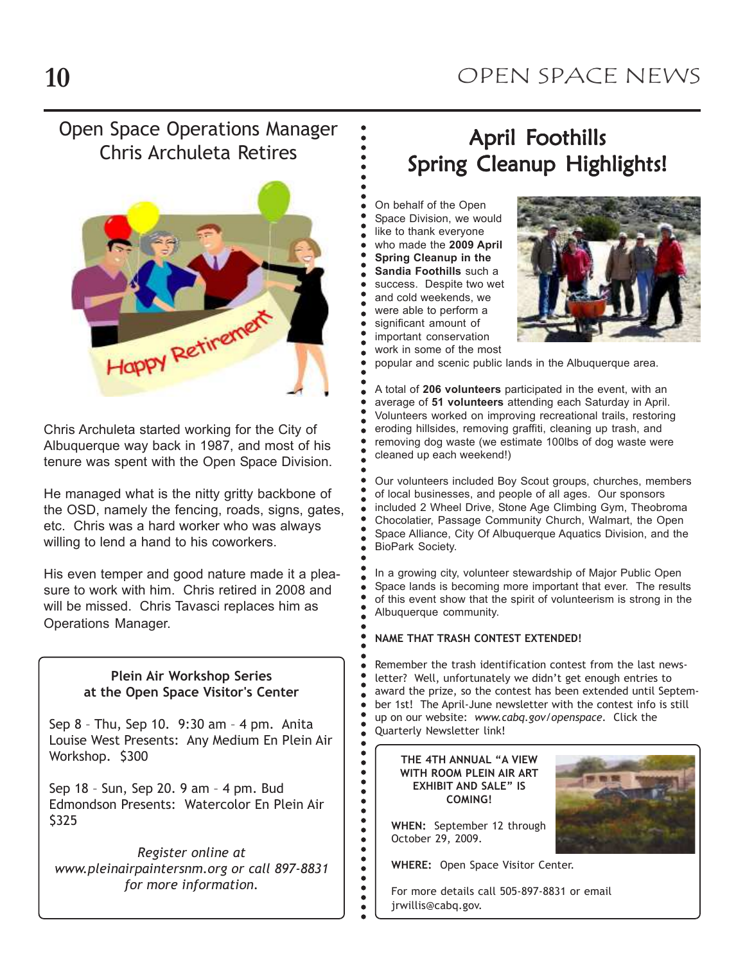### Open Space Operations Manager Chris Archuleta Retires



Chris Archuleta started working for the City of Albuquerque way back in 1987, and most of his tenure was spent with the Open Space Division.

He managed what is the nitty gritty backbone of the OSD, namely the fencing, roads, signs, gates, etc. Chris was a hard worker who was always willing to lend a hand to his coworkers.

His even temper and good nature made it a pleasure to work with him. Chris retired in 2008 and will be missed. Chris Tavasci replaces him as Operations Manager.

#### Plein Air Workshop Series at the Open Space Visitor's Center

Sep 8 – Thu, Sep 10. 9:30 am – 4 pm. Anita Louise West Presents: Any Medium En Plein Air Workshop. \$300

Sep 18 – Sun, Sep 20. 9 am – 4 pm. Bud Edmondson Presents: Watercolor En Plein Air \$325

Register online at www.pleinairpaintersnm.org or call 897-8831 for more information.

### April Foothills Spring Cleanup Highlights!

 a a a a a a a a a a a a aOn behalf of the Open Space Division, we would like to thank everyone who made the 2009 April Spring Cleanup in the Sandia Foothills such a success. Despite two wet and cold weekends, we were able to perform a

 a asignificant amount of

a a a a a aa

 a a a a a a a a a a a a a a a a a a a a a a a a a a a a a a a a a a a a a a.<br>. .<br>. .<br>• .<br>.

a a a a a a a a

.<br>. a aa

- aimportant conservation
- work in some of the most

popular and scenic public lands in the Albuquerque area.

A total of 206 volunteers participated in the event, with an average of 51 volunteers attending each Saturday in April. Volunteers worked on improving recreational trails, restoring eroding hillsides, removing graffiti, cleaning up trash, and removing dog waste (we estimate 100lbs of dog waste were cleaned up each weekend!)

Our volunteers included Boy Scout groups, churches, members of local businesses, and people of all ages. Our sponsors included 2 Wheel Drive, Stone Age Climbing Gym, Theobroma Chocolatier, Passage Community Church, Walmart, the Open Space Alliance, City Of Albuquerque Aquatics Division, and the BioPark Society.

In a growing city, volunteer stewardship of Major Public Open Space lands is becoming more important that ever. The results of this event show that the spirit of volunteerism is strong in the Albuquerque community.

#### NAME THAT TRASH CONTEST EXTENDED!

Remember the trash identification contest from the last newsletter? Well, unfortunately we didn't get enough entries to award the prize, so the contest has been extended until September 1st! The April-June newsletter with the contest info is still up on our website: www.cabq.gov/openspace. Click the Quarterly Newsletter link!

THE 4TH ANNUAL "A VIEW WITH ROOM PLEIN AIR ART EXHIBIT AND SALE" IS COMING!

WHEN: September 12 through October 29, 2009.

WHERE: Open Space Visitor Center.

For more details call 505-897-8831 or email jrwillis@cabq.gov.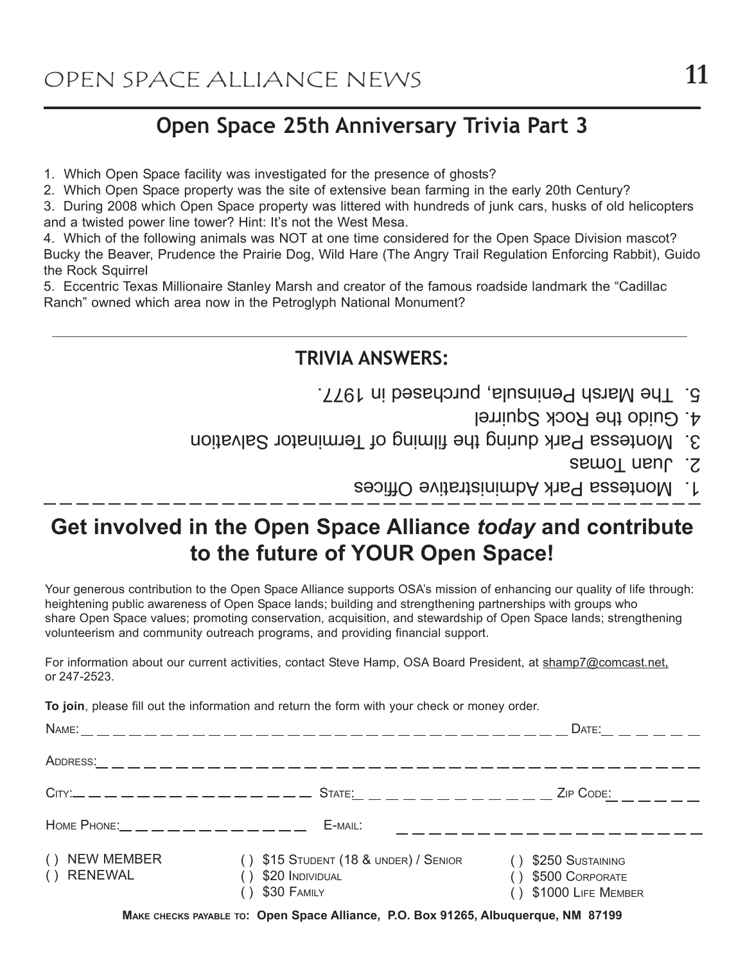### Open Space 25th Anniversary Trivia Part 3

- 1. Which Open Space facility was investigated for the presence of ghosts?
- 2. Which Open Space property was the site of extensive bean farming in the early 20th Century?

3. During 2008 which Open Space property was littered with hundreds of junk cars, husks of old helicopters and a twisted power line tower? Hint: It's not the West Mesa.

4. Which of the following animals was NOT at one time considered for the Open Space Division mascot? Bucky the Beaver, Prudence the Prairie Dog, Wild Hare (The Angry Trail Regulation Enforcing Rabbit), Guido the Rock Squirrel

5. Eccentric Texas Millionaire Stanley Marsh and creator of the famous roadside landmark the "Cadillac Ranch" owned which area now in the Petroglyph National Monument?

### TRIVIA ANSWERS:

- The Marsh Peninsula, purchased in 1977. 5.
	- 4. Guido the Rock Squirrel
- 3. Montessa Park during the filming of Terminator Salvation
	- **Semol nault 2.**
	- about the Administrative Offices

### Get involved in the Open Space Alliance today and contribute to the future of YOUR Open Space!

Your generous contribution to the Open Space Alliance supports OSA's mission of enhancing our quality of life through: heightening public awareness of Open Space lands; building and strengthening partnerships with groups who share Open Space values; promoting conservation, acquisition, and stewardship of Open Space lands; strengthening volunteerism and community outreach programs, and providing financial support.

For information about our current activities, contact Steve Hamp, OSA Board President, at shamp7@comcast.net, or 247-2523.

To join, please fill out the information and return the form with your check or money order.

|                                          |                                                                            | DATE: $\_\_ \_\_ \_\_ \_\_$                                     |
|------------------------------------------|----------------------------------------------------------------------------|-----------------------------------------------------------------|
| ADDRESS:                                 | ________________________                                                   |                                                                 |
| $C$ ITY:__ _ _ _ _ _ _ _ _ _ _ _ _ _ _ _ | State: _ _ _ _ _ _ _ _ _ _ _ _                                             | ZIP CODE:<br><u> 1999 – Alban II</u>                            |
|                                          | E-MAIL:                                                                    |                                                                 |
| <b>NEW MEMBER</b><br>( )<br>() RENEWAL   | $( )$ \$15 STUDENT (18 & UNDER) / SENIOR<br>\$20 INDIVIDUAL<br>\$30 FAMILY | \$250 SUSTAINING<br>\$500 CORPORATE<br>$( )$ \$1000 LIFE MEMBER |

MAKE CHECKS PAYABLE TO: Open Space Alliance, P.O. Box 91265, Albuquerque, NM 87199